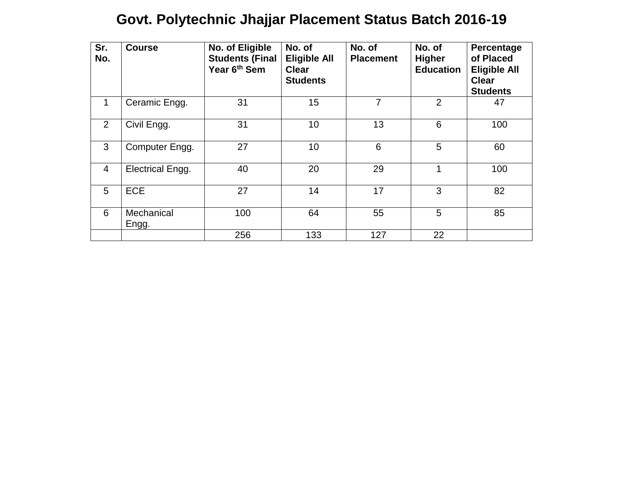## **Govt. Polytechnic Jhajjar Placement Status Batch 2016-19**

| Sr.<br>No.     | <b>Course</b>           | No. of Eligible<br><b>Students (Final</b><br>Year 6 <sup>th</sup> Sem | No. of<br><b>Eligible All</b><br><b>Clear</b><br><b>Students</b> | No. of<br><b>Placement</b> | No. of<br><b>Higher</b><br><b>Education</b> | Percentage<br>of Placed<br><b>Eligible All</b><br><b>Clear</b><br><b>Students</b> |
|----------------|-------------------------|-----------------------------------------------------------------------|------------------------------------------------------------------|----------------------------|---------------------------------------------|-----------------------------------------------------------------------------------|
| 1              | Ceramic Engg.           | 31                                                                    | 15                                                               | $\overline{7}$             | $\overline{2}$                              | 47                                                                                |
| 2              | Civil Engg.             | 31                                                                    | 10                                                               | 13                         | 6                                           | 100                                                                               |
| 3              | Computer Engg.          | 27                                                                    | 10                                                               | $6\phantom{1}6$            | 5                                           | 60                                                                                |
| $\overline{4}$ | <b>Electrical Engg.</b> | 40                                                                    | 20                                                               | 29                         | 1                                           | 100                                                                               |
| 5              | <b>ECE</b>              | 27                                                                    | 14                                                               | 17                         | 3                                           | 82                                                                                |
| 6              | Mechanical<br>Engg.     | 100                                                                   | 64                                                               | 55                         | 5                                           | 85                                                                                |
|                |                         | 256                                                                   | 133                                                              | 127                        | 22                                          |                                                                                   |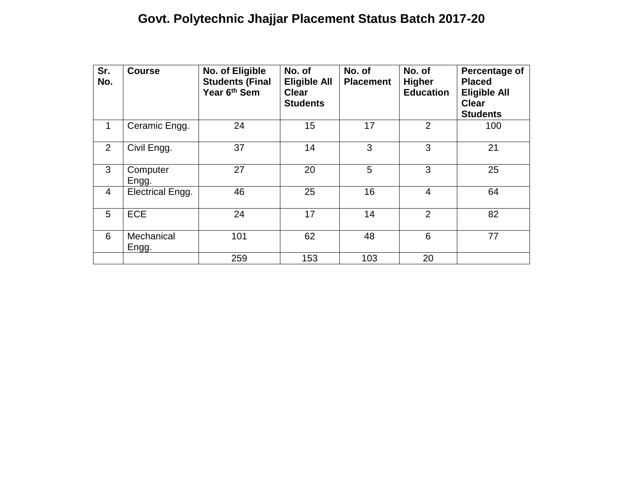## **Govt. Polytechnic Jhajjar Placement Status Batch 2017-20**

| Sr.<br>No.     | <b>Course</b>           | No. of Eligible<br><b>Students (Final</b><br>Year 6 <sup>th</sup> Sem | No. of<br><b>Eligible All</b><br><b>Clear</b><br><b>Students</b> | No. of<br><b>Placement</b> | No. of<br><b>Higher</b><br><b>Education</b> | Percentage of<br><b>Placed</b><br><b>Eligible All</b><br><b>Clear</b><br><b>Students</b> |
|----------------|-------------------------|-----------------------------------------------------------------------|------------------------------------------------------------------|----------------------------|---------------------------------------------|------------------------------------------------------------------------------------------|
| $\mathbf 1$    | Ceramic Engg.           | 24                                                                    | 15                                                               | 17                         | $\overline{2}$                              | 100                                                                                      |
| 2              | Civil Engg.             | 37                                                                    | 14                                                               | 3                          | 3                                           | 21                                                                                       |
| 3              | Computer<br>Engg.       | 27                                                                    | 20                                                               | 5                          | 3                                           | 25                                                                                       |
| $\overline{4}$ | <b>Electrical Engg.</b> | 46                                                                    | 25                                                               | 16                         | $\overline{4}$                              | 64                                                                                       |
| 5              | <b>ECE</b>              | 24                                                                    | 17                                                               | 14                         | $\overline{2}$                              | 82                                                                                       |
| 6              | Mechanical<br>Engg.     | 101                                                                   | 62                                                               | 48                         | 6                                           | 77                                                                                       |
|                |                         | 259                                                                   | 153                                                              | 103                        | 20                                          |                                                                                          |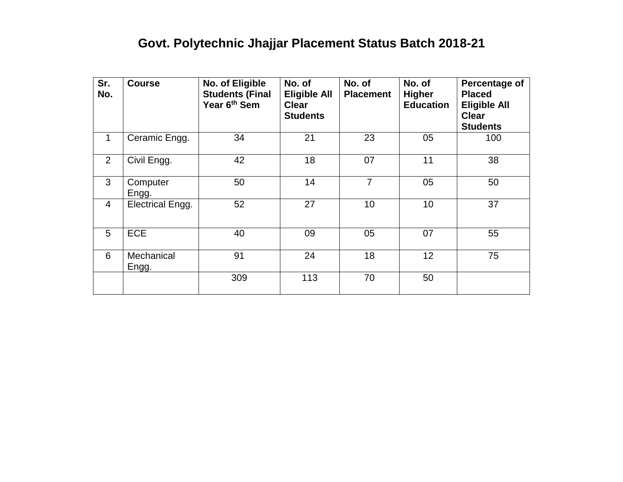## **Govt. Polytechnic Jhajjar Placement Status Batch 2018-21**

| Sr.<br>No.     | <b>Course</b>           | No. of Eligible<br><b>Students (Final</b><br>Year 6 <sup>th</sup> Sem | No. of<br><b>Eligible All</b><br><b>Clear</b><br><b>Students</b> | No. of<br><b>Placement</b> | No. of<br><b>Higher</b><br><b>Education</b> | Percentage of<br><b>Placed</b><br><b>Eligible All</b><br><b>Clear</b><br><b>Students</b> |
|----------------|-------------------------|-----------------------------------------------------------------------|------------------------------------------------------------------|----------------------------|---------------------------------------------|------------------------------------------------------------------------------------------|
| 1              | Ceramic Engg.           | 34                                                                    | 21                                                               | 23                         | 05                                          | 100                                                                                      |
| $\overline{2}$ | Civil Engg.             | 42                                                                    | 18                                                               | 07                         | 11                                          | 38                                                                                       |
| 3              | Computer<br>Engg.       | 50                                                                    | 14                                                               | $\overline{7}$             | 05                                          | 50                                                                                       |
| $\overline{4}$ | <b>Electrical Engg.</b> | 52                                                                    | 27                                                               | 10                         | 10                                          | 37                                                                                       |
| 5              | <b>ECE</b>              | 40                                                                    | 09                                                               | 05                         | 07                                          | 55                                                                                       |
| 6              | Mechanical<br>Engg.     | 91                                                                    | 24                                                               | 18                         | 12 <sub>2</sub>                             | 75                                                                                       |
|                |                         | 309                                                                   | 113                                                              | 70                         | 50                                          |                                                                                          |